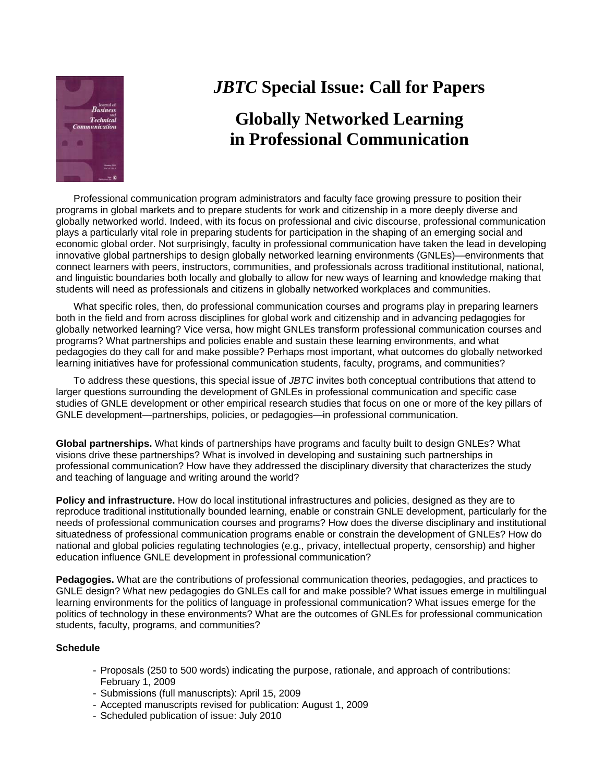

## *JBTC* **Special Issue: Call for Papers**

## **Globally Networked Learning in Professional Communication**

Professional communication program administrators and faculty face growing pressure to position their programs in global markets and to prepare students for work and citizenship in a more deeply diverse and globally networked world. Indeed, with its focus on professional and civic discourse, professional communication plays a particularly vital role in preparing students for participation in the shaping of an emerging social and economic global order. Not surprisingly, faculty in professional communication have taken the lead in developing innovative global partnerships to design globally networked learning environments (GNLEs)—environments that connect learners with peers, instructors, communities, and professionals across traditional institutional, national, and linguistic boundaries both locally and globally to allow for new ways of learning and knowledge making that students will need as professionals and citizens in globally networked workplaces and communities.

What specific roles, then, do professional communication courses and programs play in preparing learners both in the field and from across disciplines for global work and citizenship and in advancing pedagogies for globally networked learning? Vice versa, how might GNLEs transform professional communication courses and programs? What partnerships and policies enable and sustain these learning environments, and what pedagogies do they call for and make possible? Perhaps most important, what outcomes do globally networked learning initiatives have for professional communication students, faculty, programs, and communities?

To address these questions, this special issue of *JBTC* invites both conceptual contributions that attend to larger questions surrounding the development of GNLEs in professional communication and specific case studies of GNLE development or other empirical research studies that focus on one or more of the key pillars of GNLE development—partnerships, policies, or pedagogies—in professional communication.

**Global partnerships.** What kinds of partnerships have programs and faculty built to design GNLEs? What visions drive these partnerships? What is involved in developing and sustaining such partnerships in professional communication? How have they addressed the disciplinary diversity that characterizes the study and teaching of language and writing around the world?

**Policy and infrastructure.** How do local institutional infrastructures and policies, designed as they are to reproduce traditional institutionally bounded learning, enable or constrain GNLE development, particularly for the needs of professional communication courses and programs? How does the diverse disciplinary and institutional situatedness of professional communication programs enable or constrain the development of GNLEs? How do national and global policies regulating technologies (e.g., privacy, intellectual property, censorship) and higher education influence GNLE development in professional communication?

**Pedagogies.** What are the contributions of professional communication theories, pedagogies, and practices to GNLE design? What new pedagogies do GNLEs call for and make possible? What issues emerge in multilingual learning environments for the politics of language in professional communication? What issues emerge for the politics of technology in these environments? What are the outcomes of GNLEs for professional communication students, faculty, programs, and communities?

## **Schedule**

- Proposals (250 to 500 words) indicating the purpose, rationale, and approach of contributions: February 1, 2009
- Submissions (full manuscripts): April 15, 2009
- Accepted manuscripts revised for publication: August 1, 2009
- Scheduled publication of issue: July 2010